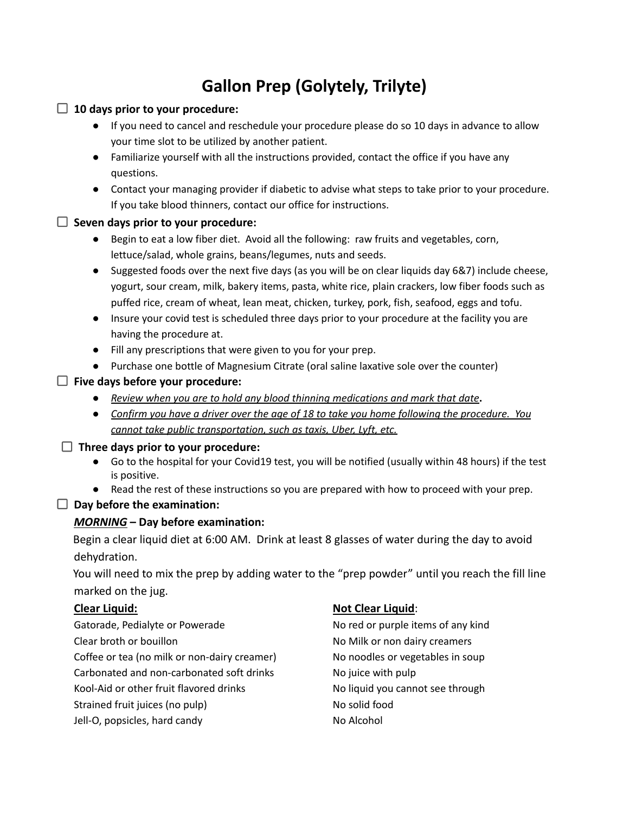# **Gallon Prep (Golytely, Trilyte)**

## **10 days prior to your procedure:** ● If you need to cancel and reschedule your procedure please do so 10 days in advance to allow your time slot to be utilized by another patient. ● Familiarize yourself with all the instructions provided, contact the office if you have any questions. ● Contact your managing provider if diabetic to advise what steps to take prior to your procedure. If you take blood thinners, contact our office for instructions. **Seven days prior to your procedure:** ● Begin to eat a low fiber diet. Avoid all the following: raw fruits and vegetables, corn, lettuce/salad, whole grains, beans/legumes, nuts and seeds. ● Suggested foods over the next five days (as you will be on clear liquids day 6&7) include cheese, yogurt, sour cream, milk, bakery items, pasta, white rice, plain crackers, low fiber foods such as puffed rice, cream of wheat, lean meat, chicken, turkey, pork, fish, seafood, eggs and tofu. ● Insure your covid test is scheduled three days prior to your procedure at the facility you are having the procedure at. ● Fill any prescriptions that were given to you for your prep. ● Purchase one bottle of Magnesium Citrate (oral saline laxative sole over the counter) **Five days before your procedure: ●** *Review when you are to hold any blood thinning medications and mark that date***.** • Confirm you have a driver over the age of 18 to take you home following the procedure. You *cannot take public transportation, such as taxis, Uber, Lyft, etc.*

#### **Three days prior to your procedure:**

- Go to the hospital for your Covid19 test, you will be notified (usually within 48 hours) if the test is positive.
- Read the rest of these instructions so you are prepared with how to proceed with your prep.

#### **Day before the examination:**

#### *MORNING* **– Day before examination:**

Begin a clear liquid diet at 6:00 AM. Drink at least 8 glasses of water during the day to avoid dehydration.

You will need to mix the prep by adding water to the "prep powder" until you reach the fill line marked on the jug.

Gatorade, Pedialyte or Powerade No red or purple items of any kind Clear broth or bouillon No Milk or non dairy creamers Coffee or tea (no milk or non-dairy creamer) No noodles or vegetables in soup Carbonated and non-carbonated soft drinks No juice with pulp Kool-Aid or other fruit flavored drinks No liquid you cannot see through Strained fruit juices (no pulp) No solid food Jell-O, popsicles, hard candy No Alcohol

#### **Clear Liquid: Not Clear Liquid**: